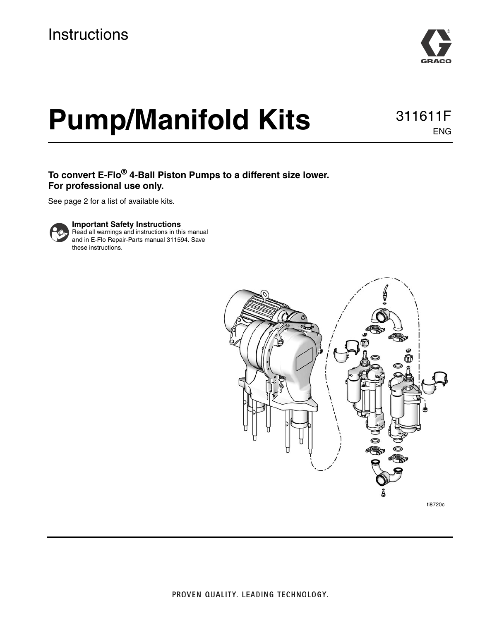

ENG

# **Pump/Manifold Kits** 311611F

**To convert E-Flo® 4-Ball Piston Pumps to a different size lower. For professional use only.**

See page [2](#page-1-0) for a list of available kits.



**Important Safety Instructions**

Read all warnings and instructions in this manual and in E-Flo Repair-Parts manual 311594. Save these instructions.

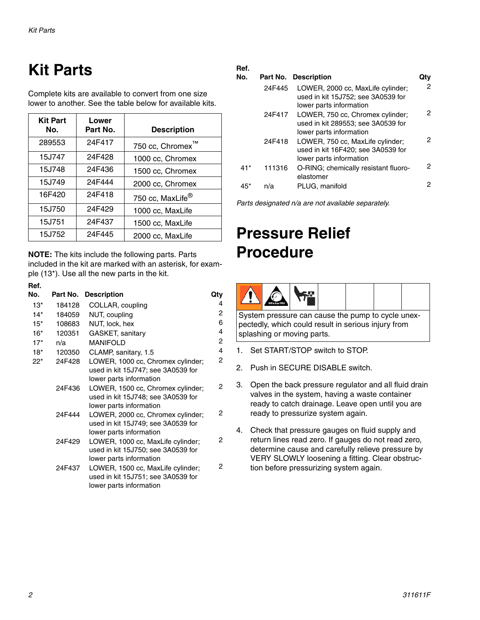# <span id="page-1-0"></span>**Kit Parts**

Complete kits are available to convert from one size lower to another. See the table below for available kits.

| <b>Kit Part</b><br>No. | Lower<br>Part No. | <b>Description</b>           |
|------------------------|-------------------|------------------------------|
| 289553                 | 24F417            | TM<br>750 cc, Chromex        |
| 15J747                 | 24F428            | 1000 cc, Chromex             |
| 15J748                 | 24F436            | 1500 cc, Chromex             |
| 15J749                 | 24F444            | 2000 cc, Chromex             |
| 16F420                 | 24F418            | 750 cc, MaxLife <sup>®</sup> |
| 15J750                 | 24F429            | 1000 cc, MaxLife             |
| 15J751                 | 24F437            | 1500 cc, MaxLife             |
| 15J752                 | 24F445            | 2000 cc, MaxLife             |

**NOTE:** The kits include the following parts. Parts included in the kit are marked with an asterisk, for example (13\*). Use all the new parts in the kit.

| Ref.   |          |                                                                                                    |                |
|--------|----------|----------------------------------------------------------------------------------------------------|----------------|
| No.    | Part No. | <b>Description</b>                                                                                 | Qty            |
| $13*$  | 184128   | COLLAR, coupling                                                                                   | 4              |
| $14*$  | 184059   | NUT, coupling                                                                                      | $\overline{c}$ |
| $15*$  | 108683   | NUT, lock, hex                                                                                     | 6              |
| $16*$  | 120351   | GASKET, sanitary                                                                                   | 4              |
| $17*$  | n/a      | <b>MANIFOLD</b>                                                                                    | $\overline{c}$ |
| $18*$  | 120350   | CLAMP, sanitary, 1.5                                                                               | $\overline{4}$ |
| $22^*$ | 24F428   | LOWER, 1000 cc, Chromex cylinder;<br>used in kit 15J747; see 3A0539 for<br>lower parts information | 2              |
|        | 24F436   | LOWER, 1500 cc, Chromex cylinder;<br>used in kit 15J748; see 3A0539 for<br>lower parts information | 2              |
|        | 24F444   | LOWER, 2000 cc, Chromex cylinder;<br>used in kit 15J749; see 3A0539 for<br>lower parts information | 2              |
|        | 24F429   | LOWER, 1000 cc, MaxLife cylinder;<br>used in kit 15J750; see 3A0539 for<br>lower parts information | 2              |
|        | 24F437   | LOWER, 1500 cc, MaxLife cylinder;<br>used in kit 15J751; see 3A0539 for<br>lower parts information | 2              |

#### **Ref.**

2

2

2

2

2

| No.   |        | Part No. Description                                                                               |   |
|-------|--------|----------------------------------------------------------------------------------------------------|---|
|       | 24F445 | LOWER, 2000 cc, MaxLife cylinder;<br>used in kit 15J752; see 3A0539 for<br>lower parts information | 2 |
|       | 24F417 | LOWER, 750 cc, Chromex cylinder;<br>used in kit 289553; see 3A0539 for<br>lower parts information  | 2 |
|       | 24F418 | LOWER, 750 cc, MaxLife cylinder;<br>used in kit 16F420; see 3A0539 for<br>lower parts information  | 2 |
| $41*$ | 111316 | O-RING; chemically resistant fluoro-<br>elastomer                                                  | 2 |
| 45*   | n/a    | PLUG, manifold                                                                                     | 2 |

*Parts designated n/a are not available separately.*

## <span id="page-1-1"></span>**Pressure Relief Procedure**

|--|

System pressure can cause the pump to cycle unexpectedly, which could result in serious injury from splashing or moving parts.

- 1. Set START/STOP switch to STOP.
- 2. Push in SECURE DISABLE switch.
- 3. Open the back pressure regulator and all fluid drain valves in the system, having a waste container ready to catch drainage. Leave open until you are ready to pressurize system again.
- 4. Check that pressure gauges on fluid supply and return lines read zero. If gauges do not read zero, determine cause and carefully relieve pressure by VERY SLOWLY loosening a fitting. Clear obstruction before pressurizing system again.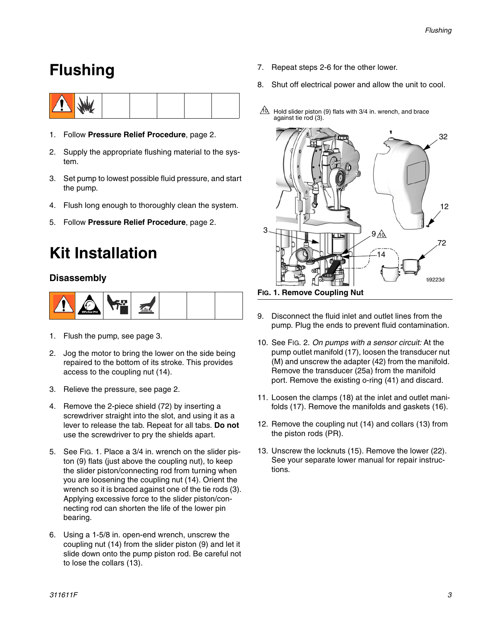### <span id="page-2-0"></span>**Flushing**



- 1. Follow **[Pressure Relief Procedure](#page-1-1)**, page [2](#page-1-1).
- 2. Supply the appropriate flushing material to the system.
- 3. Set pump to lowest possible fluid pressure, and start the pump.
- 4. Flush long enough to thoroughly clean the system.
- 5. Follow **[Pressure Relief Procedure](#page-1-1)**, page [2](#page-1-1).

### **Kit Installation**

### **Disassembly**



- 1. Flush the pump, see page [3.](#page-2-0)
- 2. Jog the motor to bring the lower on the side being repaired to the bottom of its stroke. This provides access to the coupling nut (14).
- 3. Relieve the pressure, see page [2](#page-1-1).
- 4. Remove the 2-piece shield (72) by inserting a screwdriver straight into the slot, and using it as a lever to release the tab. Repeat for all tabs. **Do not** use the screwdriver to pry the shields apart.
- 5. See FIG. 1. Place a 3/4 in. wrench on the slider piston (9) flats (just above the coupling nut), to keep the slider piston/connecting rod from turning when you are loosening the coupling nut (14). Orient the wrench so it is braced against one of the tie rods (3). Applying excessive force to the slider piston/connecting rod can shorten the life of the lower pin bearing.
- 6. Using a 1-5/8 in. open-end wrench, unscrew the coupling nut (14) from the slider piston (9) and let it slide down onto the pump piston rod. Be careful not to lose the collars (13).
- 7. Repeat steps 2-6 for the other lower.
- 8. Shut off electrical power and allow the unit to cool.
- $10 \over 10$  Hold slider piston (9) flats with 3/4 in. wrench, and brace against tie rod (3).



**FIG. 1. Remove Coupling Nut**

- 9. Disconnect the fluid inlet and outlet lines from the pump. Plug the ends to prevent fluid contamination.
- 10. See [FIG. 2.](#page-4-0) *On pumps with a sensor circuit:* At the pump outlet manifold (17), loosen the transducer nut (M) and unscrew the adapter (42) from the manifold. Remove the transducer (25a) from the manifold port. Remove the existing o-ring (41) and discard.
- 11. Loosen the clamps (18) at the inlet and outlet manifolds (17). Remove the manifolds and gaskets (16).
- 12. Remove the coupling nut (14) and collars (13) from the piston rods (PR).
- 13. Unscrew the locknuts (15). Remove the lower (22). See your separate lower manual for repair instructions.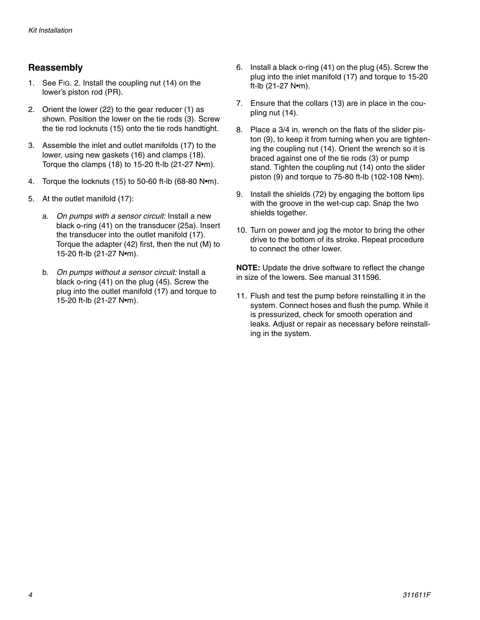### **Reassembly**

- 1. See [FIG. 2](#page-4-0). Install the coupling nut (14) on the lower's piston rod (PR).
- 2. Orient the lower (22) to the gear reducer (1) as shown. Position the lower on the tie rods (3). Screw the tie rod locknuts (15) onto the tie rods handtight.
- 3. Assemble the inlet and outlet manifolds (17) to the lower, using new gaskets (16) and clamps (18). Torque the clamps (18) to 15-20 ft-lb (21-27 N•m).
- 4. Torque the locknuts (15) to 50-60 ft-lb (68-80 N•m).
- 5. At the outlet manifold (17):
	- a. *On pumps with a sensor circuit:* Install a new black o-ring (41) on the transducer (25a). Insert the transducer into the outlet manifold (17). Torque the adapter (42) first, then the nut (M) to 15-20 ft-lb (21-27 N•m).
	- b. *On pumps without a sensor circuit:* Install a black o-ring (41) on the plug (45). Screw the plug into the outlet manifold (17) and torque to 15-20 ft-lb (21-27 N•m).
- 6. Install a black o-ring (41) on the plug (45). Screw the plug into the inlet manifold (17) and torque to 15-20 ft-lb (21-27 N•m).
- 7. Ensure that the collars (13) are in place in the coupling nut (14).
- 8. Place a 3/4 in. wrench on the flats of the slider piston (9), to keep it from turning when you are tightening the coupling nut (14). Orient the wrench so it is braced against one of the tie rods (3) or pump stand. Tighten the coupling nut (14) onto the slider piston (9) and torque to 75-80 ft-lb (102-108 N•m).
- 9. Install the shields (72) by engaging the bottom lips with the groove in the wet-cup cap. Snap the two shields together.
- 10. Turn on power and jog the motor to bring the other drive to the bottom of its stroke. Repeat procedure to connect the other lower.

**NOTE:** Update the drive software to reflect the change in size of the lowers. See manual 311596.

11. Flush and test the pump before reinstalling it in the system. Connect hoses and flush the pump. While it is pressurized, check for smooth operation and leaks. Adjust or repair as necessary before reinstalling in the system.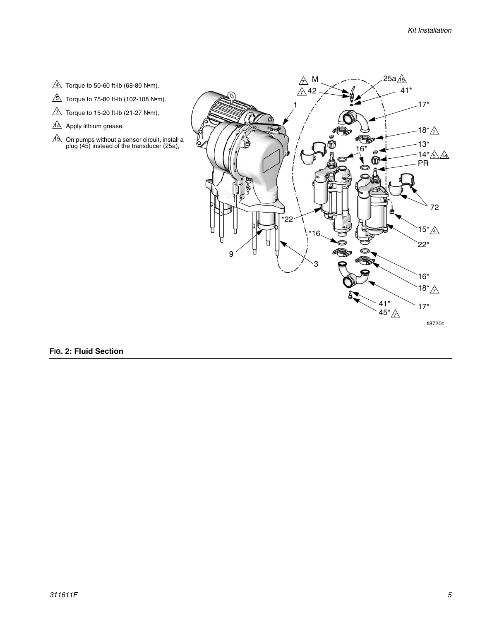- $4\sqrt{4}$  Torque to 50-60 ft-lb (68-80 N•m).
- $5\sqrt{2}$  Torque to 75-80 ft-lb (102-108 N•m).
- $\overline{\triangle}$  Torque to 15-20 ft-lb (21-27 N•m).
- 14 Apply lithium grease.
- On pumps without a sensor circuit, install a plug (45) instead of the transducer (25a), 15



#### <span id="page-4-0"></span>**FIG. 2: Fluid Section**